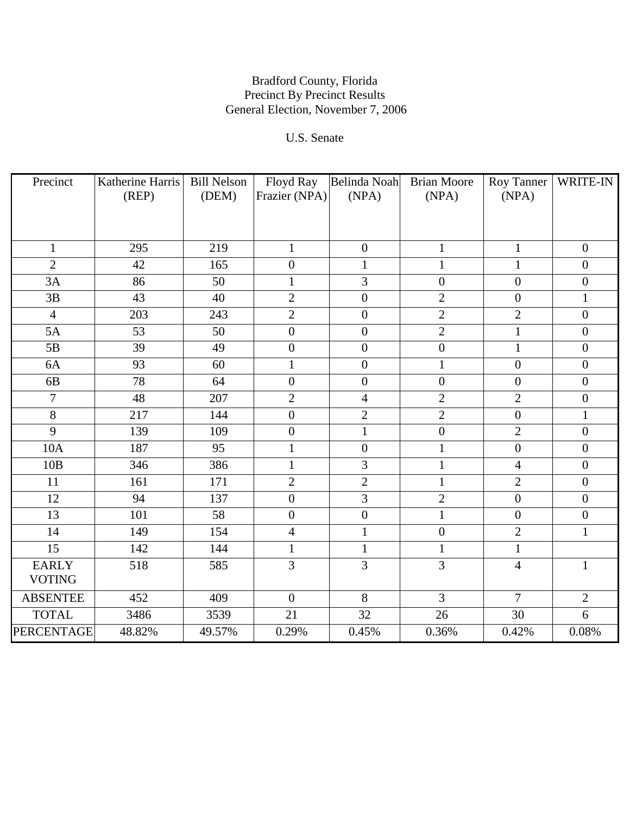# U.S. Senate

| Precinct        | Katherine Harris | <b>Bill Nelson</b> | Floyd Ray        | Belinda Noah     | <b>Brian Moore</b> | Roy Tanner       | WRITE-IN         |
|-----------------|------------------|--------------------|------------------|------------------|--------------------|------------------|------------------|
|                 | (REP)            | (DEM)              | Frazier (NPA)    | (NPA)            | (NPA)              | (NPA)            |                  |
|                 |                  |                    |                  |                  |                    |                  |                  |
|                 |                  |                    |                  |                  |                    |                  |                  |
| $\mathbf{1}$    | 295              | 219                | $\mathbf{1}$     | $\boldsymbol{0}$ | $\mathbf{1}$       | $\mathbf{1}$     | $\boldsymbol{0}$ |
| $\overline{2}$  | 42               | 165                | $\overline{0}$   | $\mathbf{1}$     | 1                  | $\mathbf{1}$     | $\overline{0}$   |
| 3A              | 86               | 50                 | $\mathbf{1}$     | 3                | $\boldsymbol{0}$   | $\boldsymbol{0}$ | $\boldsymbol{0}$ |
| 3B              | 43               | 40                 | $\overline{2}$   | $\boldsymbol{0}$ | $\overline{2}$     | $\boldsymbol{0}$ | $\mathbf{1}$     |
| $\overline{4}$  | 203              | 243                | $\overline{2}$   | $\boldsymbol{0}$ | $\overline{2}$     | $\overline{2}$   | $\boldsymbol{0}$ |
| 5A              | 53               | 50                 | $\boldsymbol{0}$ | $\boldsymbol{0}$ | $\overline{2}$     | $\mathbf{1}$     | $\overline{0}$   |
| 5B              | 39               | 49                 | $\boldsymbol{0}$ | $\boldsymbol{0}$ | $\boldsymbol{0}$   | $\mathbf 1$      | $\boldsymbol{0}$ |
| 6A              | $\overline{93}$  | 60                 | $\mathbf 1$      | $\boldsymbol{0}$ | $\mathbf{1}$       | $\boldsymbol{0}$ | $\boldsymbol{0}$ |
| 6 <sub>B</sub>  | 78               | 64                 | $\boldsymbol{0}$ | $\boldsymbol{0}$ | $\boldsymbol{0}$   | $\boldsymbol{0}$ | $\overline{0}$   |
| $\overline{7}$  | 48               | 207                | $\overline{2}$   | $\overline{4}$   | $\overline{2}$     | $\overline{2}$   | $\boldsymbol{0}$ |
| $\overline{8}$  | 217              | 144                | $\boldsymbol{0}$ | $\overline{2}$   | $\overline{2}$     | $\boldsymbol{0}$ | $\mathbf{1}$     |
| $\overline{9}$  | 139              | 109                | $\boldsymbol{0}$ | $\mathbf{1}$     | $\boldsymbol{0}$   | $\overline{2}$   | $\boldsymbol{0}$ |
| <b>10A</b>      | 187              | 95                 | $\mathbf{1}$     | $\boldsymbol{0}$ | $\mathbf{1}$       | $\boldsymbol{0}$ | $\boldsymbol{0}$ |
| 10B             | 346              | 386                | $\mathbf{1}$     | $\overline{3}$   | $\mathbf{1}$       | $\overline{4}$   | $\overline{0}$   |
| 11              | 161              | 171                | $\overline{2}$   | $\overline{2}$   | $\mathbf{1}$       | $\overline{2}$   | $\boldsymbol{0}$ |
| 12              | 94               | 137                | $\boldsymbol{0}$ | $\overline{3}$   | $\overline{2}$     | $\boldsymbol{0}$ | $\overline{0}$   |
| $\overline{13}$ | 101              | $\overline{58}$    | $\boldsymbol{0}$ | $\boldsymbol{0}$ | $\mathbf{1}$       | $\boldsymbol{0}$ | $\boldsymbol{0}$ |
| 14              | 149              | 154                | $\overline{4}$   | $\mathbf{1}$     | $\boldsymbol{0}$   | $\overline{2}$   | $\mathbf{1}$     |
| 15              | 142              | 144                | $\mathbf{1}$     | $\mathbf{1}$     | $\mathbf{1}$       | $\mathbf{1}$     |                  |
| <b>EARLY</b>    | 518              | 585                | $\overline{3}$   | $\overline{3}$   | $\overline{3}$     | $\overline{4}$   | $\mathbf{1}$     |
| <b>VOTING</b>   |                  |                    |                  |                  |                    |                  |                  |
| <b>ABSENTEE</b> | 452              | 409                | $\overline{0}$   | $\overline{8}$   | $\overline{3}$     | $\overline{7}$   | $\overline{2}$   |
| <b>TOTAL</b>    | 3486             | 3539               | 21               | $\overline{32}$  | 26                 | 30               | 6                |
| PERCENTAGE      | 48.82%           | 49.57%             | 0.29%            | 0.45%            | 0.36%              | 0.42%            | 0.08%            |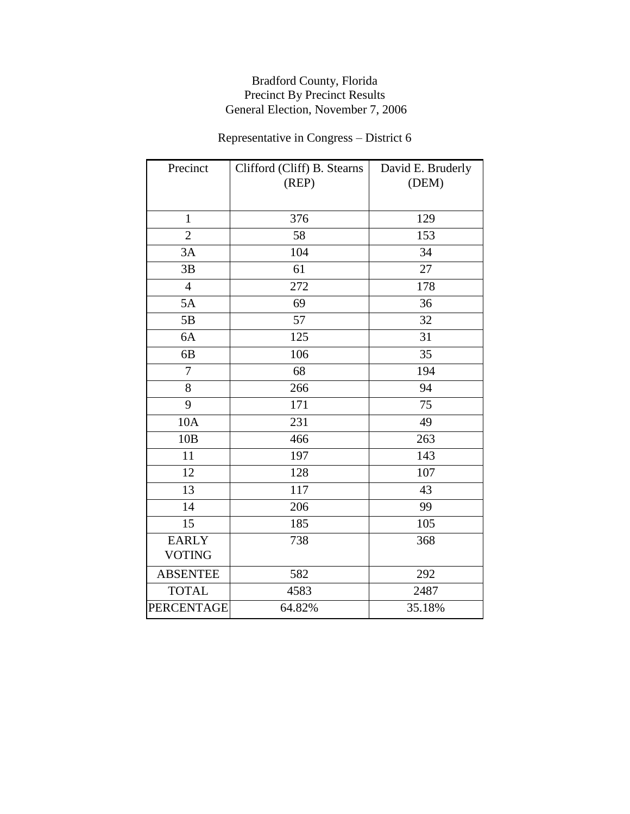# Representative in Congress – District 6

| Precinct                      | Clifford (Cliff) B. Stearns<br>(REP) | David E. Bruderly<br>(DEM) |
|-------------------------------|--------------------------------------|----------------------------|
| $\mathbf{1}$                  | 376                                  | 129                        |
| $\overline{2}$                | 58                                   | 153                        |
| 3A                            | 104                                  | 34                         |
| 3B                            | 61                                   | 27                         |
| $\overline{4}$                | 272                                  | 178                        |
| 5A                            | 69                                   | 36                         |
| 5B                            | 57                                   | 32                         |
| 6A                            | 125                                  | 31                         |
| 6B                            | 106                                  | 35                         |
| $\overline{7}$                | 68                                   | 194                        |
| 8                             | 266                                  | 94                         |
| 9                             | 171                                  | 75                         |
| 10A                           | 231                                  | 49                         |
| 10B                           | 466                                  | 263                        |
| 11                            | 197                                  | 143                        |
| 12                            | 128                                  | 107                        |
| 13                            | 117                                  | 43                         |
| 14                            | 206                                  | 99                         |
| 15                            | 185                                  | 105                        |
| <b>EARLY</b><br><b>VOTING</b> | 738                                  | 368                        |
| <b>ABSENTEE</b>               | 582                                  | 292                        |
| <b>TOTAL</b>                  | 4583                                 | 2487                       |
| <b>PERCENTAGE</b>             | 64.82%                               | 35.18%                     |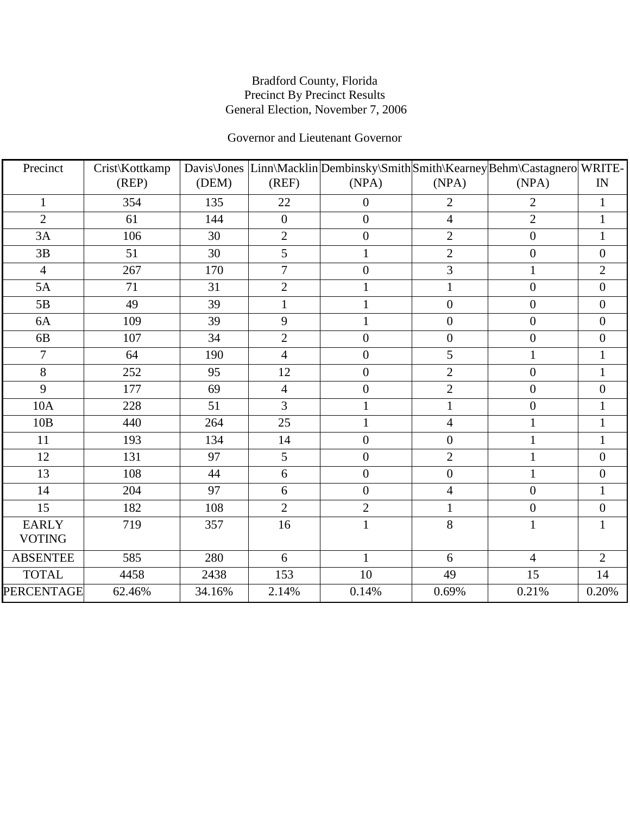## Governor and Lieutenant Governor

| Precinct          | Crist\Kottkamp |        |                  | Davis\Jones  Linn\Macklin Dembinsky\Smith Smith\Kearney Behm\Castagnero WRITE- |                          |                  |                  |
|-------------------|----------------|--------|------------------|--------------------------------------------------------------------------------|--------------------------|------------------|------------------|
|                   | (REP)          | (DEM)  | (REF)            | (NPA)                                                                          | (NPA)                    | (NPA)            | IN               |
| $\mathbf{1}$      | 354            | 135    | 22               | $\boldsymbol{0}$                                                               | $\overline{2}$           | $\overline{2}$   | $\mathbf{1}$     |
| $\overline{2}$    | 61             | 144    | $\boldsymbol{0}$ | $\boldsymbol{0}$                                                               | $\overline{\mathcal{A}}$ | $\overline{2}$   | $\mathbf{1}$     |
| 3A                | 106            | 30     | $\overline{2}$   | $\boldsymbol{0}$                                                               | $\overline{2}$           | $\boldsymbol{0}$ | $\mathbf{1}$     |
| 3B                | 51             | 30     | 5                | $\mathbf{1}$                                                                   | $\overline{2}$           | $\boldsymbol{0}$ | $\boldsymbol{0}$ |
| $\overline{4}$    | 267            | 170    | $\overline{7}$   | $\boldsymbol{0}$                                                               | 3                        | $\mathbf{1}$     | $\overline{2}$   |
| 5A                | 71             | 31     | $\overline{2}$   | $\mathbf{1}$                                                                   | $\mathbf{1}$             | $\boldsymbol{0}$ | $\boldsymbol{0}$ |
| 5B                | 49             | 39     | $\mathbf{1}$     | $\mathbf{1}$                                                                   | $\overline{0}$           | $\overline{0}$   | $\boldsymbol{0}$ |
| 6A                | 109            | 39     | 9                |                                                                                | $\boldsymbol{0}$         | $\boldsymbol{0}$ | $\boldsymbol{0}$ |
| 6 <sub>B</sub>    | 107            | 34     | $\overline{2}$   | $\boldsymbol{0}$                                                               | $\boldsymbol{0}$         | $\boldsymbol{0}$ | $\boldsymbol{0}$ |
| $\overline{7}$    | 64             | 190    | $\overline{4}$   | $\boldsymbol{0}$                                                               | 5                        | $\mathbf{1}$     | $\mathbf{1}$     |
| 8                 | 252            | 95     | 12               | $\overline{0}$                                                                 | $\overline{2}$           | $\overline{0}$   | $\mathbf{1}$     |
| 9                 | 177            | 69     | $\overline{4}$   | $\overline{0}$                                                                 | $\overline{2}$           | $\boldsymbol{0}$ | $\boldsymbol{0}$ |
| 10A               | 228            | 51     | 3                | $\mathbf{1}$                                                                   | $\mathbf{1}$             | $\boldsymbol{0}$ | $\mathbf{1}$     |
| 10B               | 440            | 264    | 25               | $\mathbf{1}$                                                                   | 4                        | $\mathbf{1}$     | $\mathbf{1}$     |
| 11                | 193            | 134    | 14               | $\boldsymbol{0}$                                                               | $\overline{0}$           | $\mathbf{1}$     | $\mathbf{1}$     |
| 12                | 131            | 97     | 5                | $\boldsymbol{0}$                                                               | $\overline{2}$           | $\mathbf{1}$     | $\boldsymbol{0}$ |
| 13                | 108            | 44     | 6                | $\boldsymbol{0}$                                                               | $\boldsymbol{0}$         | $\mathbf{1}$     | $\boldsymbol{0}$ |
| 14                | 204            | 97     | 6                | $\boldsymbol{0}$                                                               | 4                        | $\boldsymbol{0}$ | $\mathbf{1}$     |
| 15                | 182            | 108    | $\overline{2}$   | $\mathbf{2}$                                                                   | $\mathbf{1}$             | $\boldsymbol{0}$ | $\boldsymbol{0}$ |
| <b>EARLY</b>      | 719            | 357    | 16               | $\mathbf{1}$                                                                   | 8                        | $\mathbf{1}$     | $\mathbf{1}$     |
| <b>VOTING</b>     |                |        |                  |                                                                                |                          |                  |                  |
| <b>ABSENTEE</b>   | 585            | 280    | 6                | $\mathbf{1}$                                                                   | 6                        | $\overline{4}$   | $\overline{2}$   |
| <b>TOTAL</b>      | 4458           | 2438   | 153              | 10                                                                             | 49                       | 15               | 14               |
| <b>PERCENTAGE</b> | 62.46%         | 34.16% | 2.14%            | 0.14%                                                                          | 0.69%                    | 0.21%            | 0.20%            |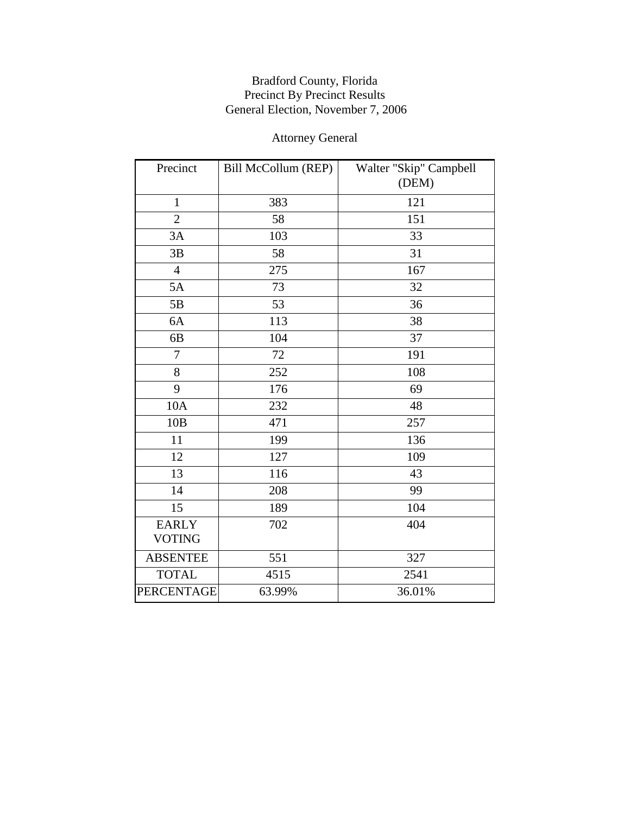# Attorney General

| Precinct          | Bill McCollum (REP) | Walter "Skip" Campbell |
|-------------------|---------------------|------------------------|
|                   |                     | (DEM)                  |
| $\mathbf{1}$      | 383                 | 121                    |
| $\overline{2}$    | 58                  | 151                    |
| 3A                | 103                 | 33                     |
| 3B                | 58                  | 31                     |
| $\overline{4}$    | 275                 | 167                    |
| 5A                | 73                  | 32                     |
| 5B                | 53                  | 36                     |
| 6A                | 113                 | 38                     |
| 6 <sub>B</sub>    | 104                 | 37                     |
| 7                 | 72                  | 191                    |
| 8                 | 252                 | 108                    |
| 9                 | 176                 | 69                     |
| 10A               | 232                 | 48                     |
| 10B               | 471                 | 257                    |
| 11                | 199                 | 136                    |
| 12                | 127                 | 109                    |
| 13                | 116                 | 43                     |
| 14                | 208                 | 99                     |
| 15                | 189                 | 104                    |
| <b>EARLY</b>      | 702                 | 404                    |
| <b>VOTING</b>     |                     |                        |
| <b>ABSENTEE</b>   | 551                 | 327                    |
| <b>TOTAL</b>      | 4515                | 2541                   |
| <b>PERCENTAGE</b> | 63.99%              | 36.01%                 |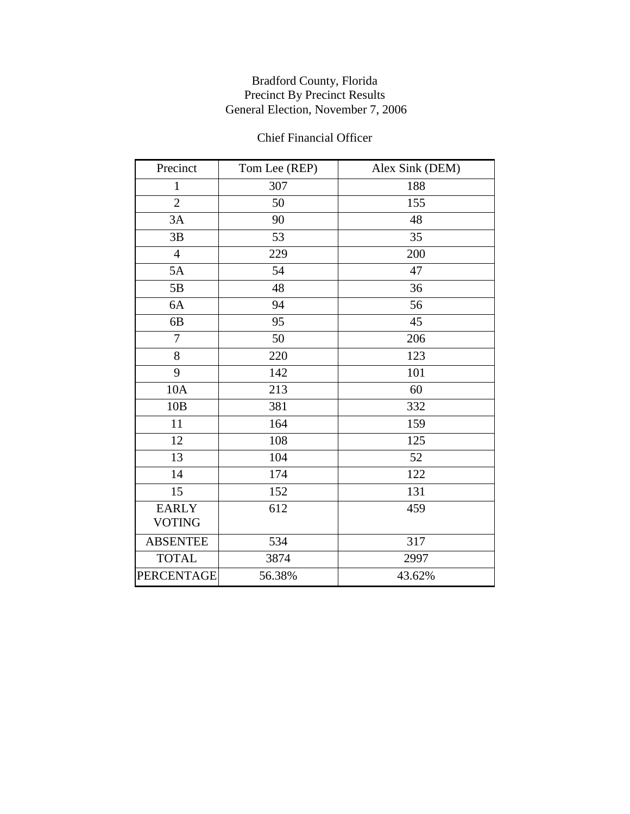## Chief Financial Officer

| Precinct          | Tom Lee (REP) | Alex Sink (DEM) |
|-------------------|---------------|-----------------|
| $\mathbf{1}$      | 307           | 188             |
| $\overline{2}$    | 50            | 155             |
| 3A                | 90            | 48              |
| 3B                | 53            | 35              |
| $\overline{4}$    | 229           | 200             |
| 5A                | 54            | 47              |
| 5B                | 48            | 36              |
| 6A                | 94            | 56              |
| 6 <sub>B</sub>    | 95            | 45              |
| $\overline{7}$    | 50            | 206             |
| 8                 | 220           | 123             |
| 9                 | 142           | 101             |
| 10A               | 213           | 60              |
| 10B               | 381           | 332             |
| 11                | 164           | 159             |
| 12                | 108           | 125             |
| 13                | 104           | 52              |
| 14                | 174           | 122             |
| 15                | 152           | 131             |
| <b>EARLY</b>      | 612           | 459             |
| <b>VOTING</b>     |               |                 |
| <b>ABSENTEE</b>   | 534           | 317             |
| <b>TOTAL</b>      | 3874          | 2997            |
| <b>PERCENTAGE</b> | 56.38%        | 43.62%          |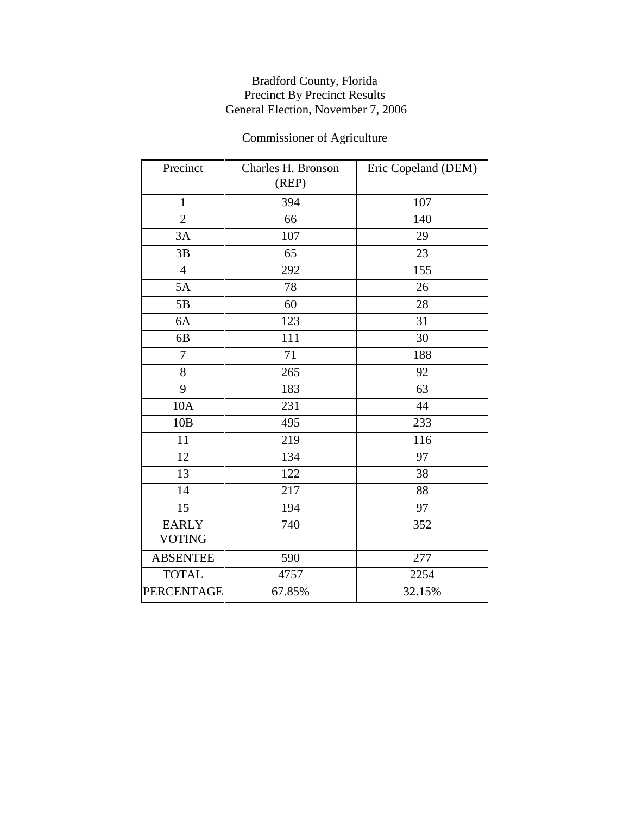# Commissioner of Agriculture

| Precinct                      | Charles H. Bronson<br>(REP) | Eric Copeland (DEM) |
|-------------------------------|-----------------------------|---------------------|
| $\mathbf{1}$                  | 394                         | 107                 |
| $\overline{2}$                | 66                          | 140                 |
| 3A                            | 107                         | 29                  |
| 3B                            | 65                          | 23                  |
| $\overline{4}$                | 292                         | 155                 |
| 5A                            | 78                          | 26                  |
| 5B                            | 60                          | 28                  |
| 6A                            | 123                         | 31                  |
| 6B                            | 111                         | 30                  |
| $\overline{7}$                | 71                          | 188                 |
| 8                             | 265                         | 92                  |
| 9                             | 183                         | 63                  |
| 10A                           | 231                         | 44                  |
| 10B                           | 495                         | 233                 |
| 11                            | 219                         | 116                 |
| 12                            | 134                         | 97                  |
| 13                            | 122                         | 38                  |
| 14                            | 217                         | 88                  |
| 15                            | 194                         | 97                  |
| <b>EARLY</b><br><b>VOTING</b> | 740                         | 352                 |
| <b>ABSENTEE</b>               | 590                         | 277                 |
| <b>TOTAL</b>                  | 4757                        | 2254                |
| PERCENTAGE                    | 67.85%                      | 32.15%              |
|                               |                             |                     |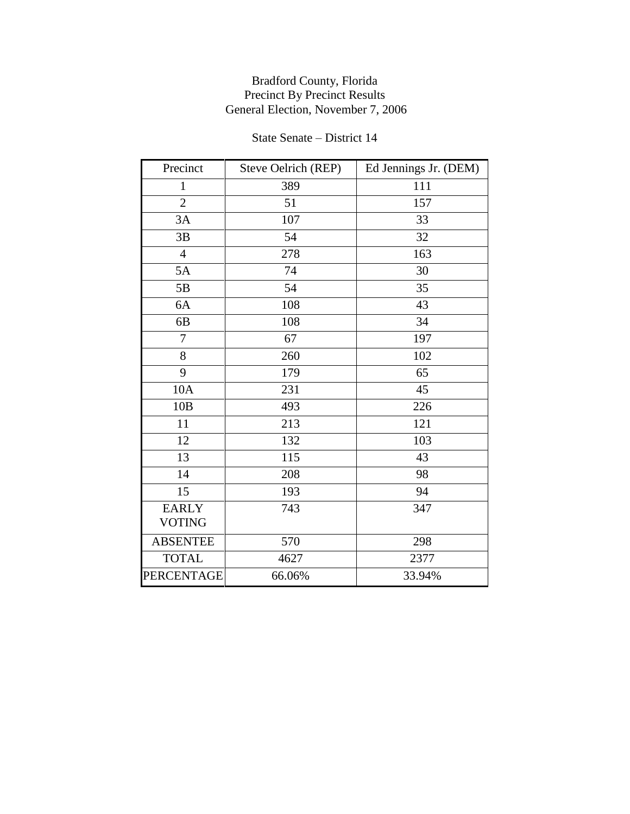#### State Senate – District 14

| Precinct        | Steve Oelrich (REP) | Ed Jennings Jr. (DEM) |
|-----------------|---------------------|-----------------------|
| $\mathbf{1}$    | 389                 | 111                   |
| $\overline{2}$  | 51                  | 157                   |
| 3A              | 107                 | 33                    |
| 3B              | 54                  | 32                    |
| $\overline{4}$  | 278                 | 163                   |
| 5A              | 74                  | 30                    |
| 5B              | 54                  | 35                    |
| 6A              | 108                 | 43                    |
| 6 <sub>B</sub>  | 108                 | 34                    |
| 7               | 67                  | 197                   |
| 8               | 260                 | 102                   |
| 9               | 179                 | 65                    |
| 10A             | 231                 | 45                    |
| 10B             | 493                 | 226                   |
| 11              | 213                 | 121                   |
| 12              | 132                 | 103                   |
| 13              | 115                 | 43                    |
| 14              | 208                 | 98                    |
| 15              | 193                 | 94                    |
| <b>EARLY</b>    | 743                 | 347                   |
| <b>VOTING</b>   |                     |                       |
| <b>ABSENTEE</b> | 570                 | 298                   |
| <b>TOTAL</b>    | 4627                | 2377                  |
| PERCENTAGE      | 66.06%              | 33.94%                |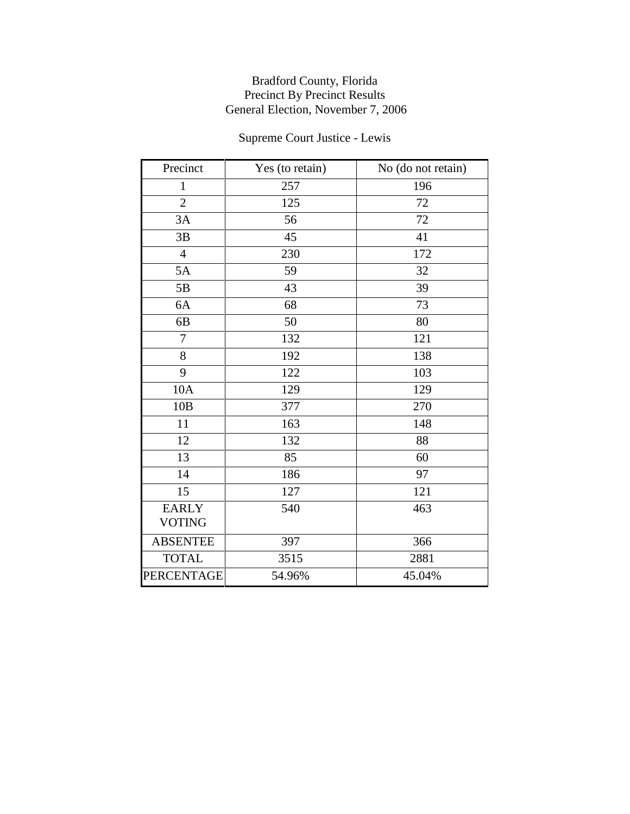# Supreme Court Justice - Lewis

| Precinct          | Yes (to retain) | No (do not retain) |
|-------------------|-----------------|--------------------|
| $\mathbf{1}$      | 257             | 196                |
| $\overline{2}$    | 125             | 72                 |
| 3A                | 56              | 72                 |
| 3B                | 45              | 41                 |
| $\overline{4}$    | 230             | 172                |
| 5A                | 59              | 32                 |
| 5B                | 43              | 39                 |
| 6A                | 68              | 73                 |
| 6 <sub>B</sub>    | 50              | 80                 |
| $\overline{7}$    | 132             | 121                |
| 8                 | 192             | 138                |
| 9                 | 122             | 103                |
| 10A               | 129             | 129                |
| 10B               | 377             | 270                |
| 11                | 163             | 148                |
| 12                | 132             | 88                 |
| 13                | 85              | 60                 |
| 14                | 186             | 97                 |
| 15                | 127             | 121                |
| <b>EARLY</b>      | 540             | 463                |
| <b>VOTING</b>     |                 |                    |
| <b>ABSENTEE</b>   | 397             | 366                |
| <b>TOTAL</b>      | 3515            | 2881               |
| <b>PERCENTAGE</b> | 54.96%          | 45.04%             |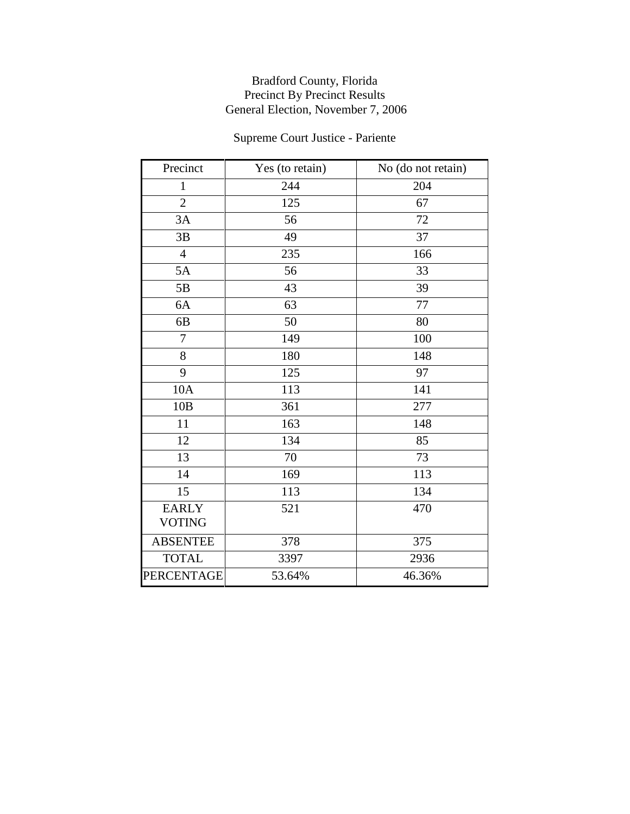# Supreme Court Justice - Pariente

| Precinct          | Yes (to retain) | No (do not retain) |
|-------------------|-----------------|--------------------|
| $\mathbf{1}$      | 244             | 204                |
| $\overline{2}$    | 125             | 67                 |
| 3A                | 56              | 72                 |
| 3B                | 49              | 37                 |
| $\overline{4}$    | 235             | 166                |
| 5A                | 56              | 33                 |
| 5B                | 43              | 39                 |
| 6A                | 63              | 77                 |
| 6 <sub>B</sub>    | 50              | 80                 |
| $\overline{7}$    | 149             | 100                |
| 8                 | 180             | 148                |
| 9                 | 125             | 97                 |
| 10A               | 113             | 141                |
| 10B               | 361             | 277                |
| 11                | 163             | 148                |
| 12                | 134             | 85                 |
| 13                | 70              | 73                 |
| 14                | 169             | 113                |
| 15                | 113             | 134                |
| <b>EARLY</b>      | 521             | 470                |
| <b>VOTING</b>     |                 |                    |
| <b>ABSENTEE</b>   | 378             | 375                |
| <b>TOTAL</b>      | 3397            | 2936               |
| <b>PERCENTAGE</b> | 53.64%          | 46.36%             |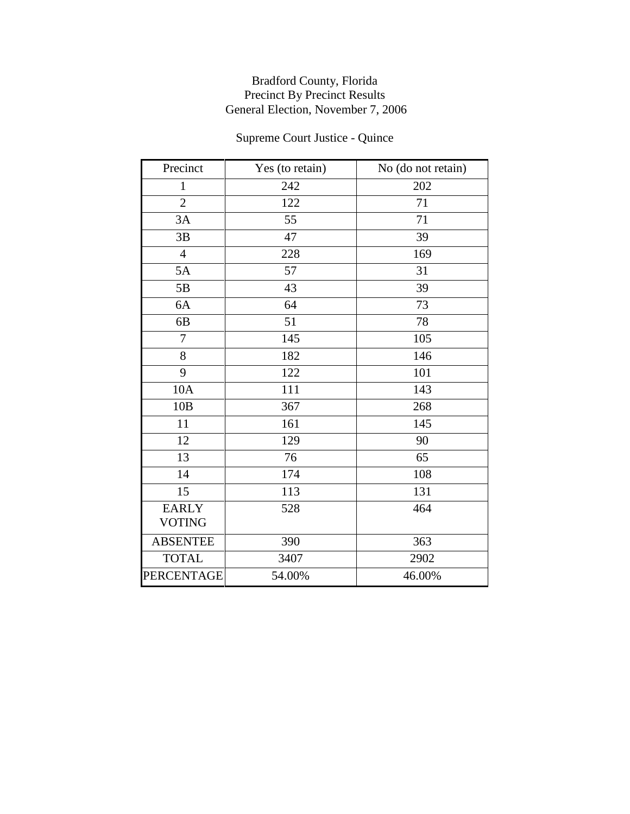# Supreme Court Justice - Quince

| Precinct          | Yes (to retain) | No (do not retain) |
|-------------------|-----------------|--------------------|
| $\mathbf{1}$      | 242             | 202                |
| $\overline{2}$    | 122             | 71                 |
| 3A                | 55              | 71                 |
| 3B                | 47              | 39                 |
| $\overline{4}$    | 228             | 169                |
| 5A                | 57              | 31                 |
| 5B                | 43              | 39                 |
| 6A                | 64              | 73                 |
| 6 <sub>B</sub>    | 51              | 78                 |
| $\overline{7}$    | 145             | 105                |
| 8                 | 182             | 146                |
| 9                 | 122             | 101                |
| 10A               | 111             | 143                |
| 10B               | 367             | 268                |
| 11                | 161             | 145                |
| 12                | 129             | 90                 |
| 13                | 76              | 65                 |
| 14                | 174             | 108                |
| 15                | 113             | 131                |
| <b>EARLY</b>      | 528             | 464                |
| <b>VOTING</b>     |                 |                    |
| <b>ABSENTEE</b>   | 390             | 363                |
| <b>TOTAL</b>      | 3407            | 2902               |
| <b>PERCENTAGE</b> | 54.00%          | 46.00%             |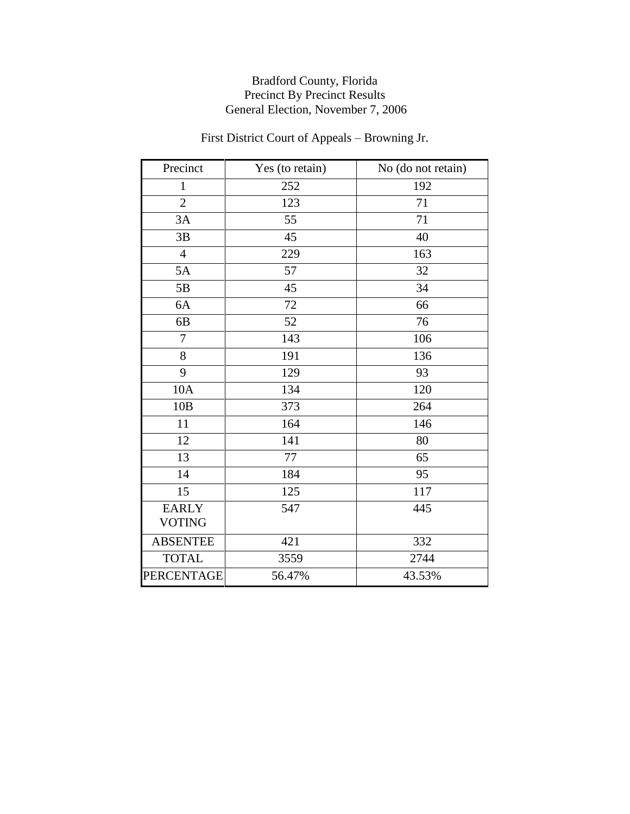# First District Court of Appeals – Browning Jr.

| Precinct          | Yes (to retain) | No (do not retain) |
|-------------------|-----------------|--------------------|
| $\mathbf{1}$      | 252             | 192                |
| $\overline{2}$    | 123             | 71                 |
| 3A                | 55              | 71                 |
| 3B                | 45              | 40                 |
| $\overline{4}$    | 229             | 163                |
| 5A                | 57              | 32                 |
| 5B                | 45              | 34                 |
| 6A                | 72              | 66                 |
| 6B                | 52              | 76                 |
| 7                 | 143             | 106                |
| 8                 | 191             | 136                |
| 9                 | 129             | 93                 |
| 10A               | 134             | 120                |
| 10B               | 373             | 264                |
| 11                | 164             | 146                |
| 12                | 141             | 80                 |
| 13                | 77              | 65                 |
| 14                | 184             | 95                 |
| 15                | 125             | 117                |
| <b>EARLY</b>      | 547             | 445                |
| <b>VOTING</b>     |                 |                    |
| <b>ABSENTEE</b>   | 421             | 332                |
| <b>TOTAL</b>      | 3559            | 2744               |
| <b>PERCENTAGE</b> | 56.47%          | 43.53%             |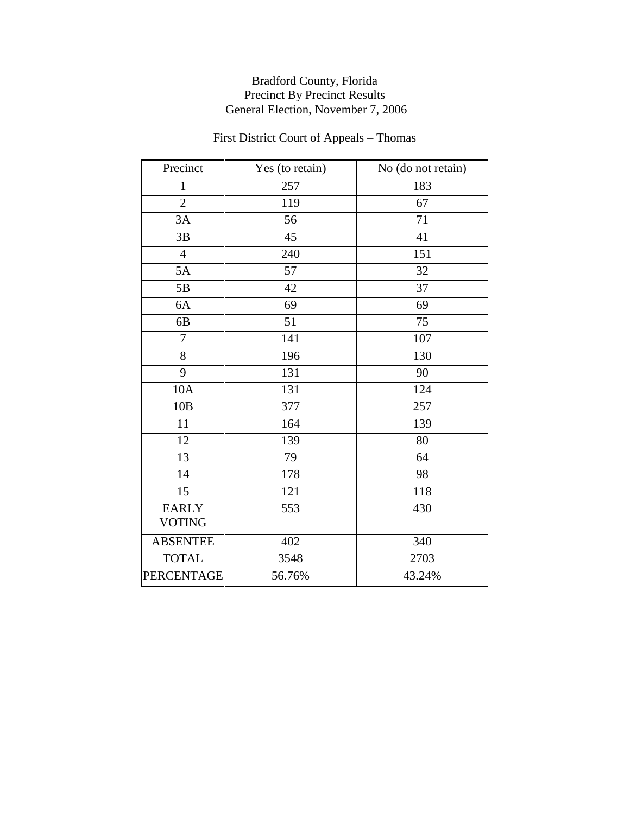# First District Court of Appeals – Thomas

| Precinct          | Yes (to retain) | No (do not retain) |
|-------------------|-----------------|--------------------|
| $\mathbf{1}$      | 257             | 183                |
| $\overline{2}$    | 119             | 67                 |
| 3A                | 56              | 71                 |
| 3B                | 45              | 41                 |
| $\overline{4}$    | 240             | 151                |
| 5A                | 57              | 32                 |
| 5B                | 42              | 37                 |
| 6A                | 69              | 69                 |
| 6 <sub>B</sub>    | 51              | 75                 |
| $\overline{7}$    | 141             | 107                |
| 8                 | 196             | 130                |
| 9                 | 131             | 90                 |
| 10A               | 131             | 124                |
| 10B               | 377             | 257                |
| 11                | 164             | 139                |
| 12                | 139             | 80                 |
| 13                | 79              | 64                 |
| 14                | 178             | 98                 |
| 15                | 121             | 118                |
| <b>EARLY</b>      | 553             | 430                |
| <b>VOTING</b>     |                 |                    |
| <b>ABSENTEE</b>   | 402             | 340                |
| <b>TOTAL</b>      | 3548            | 2703               |
| <b>PERCENTAGE</b> | 56.76%          | 43.24%             |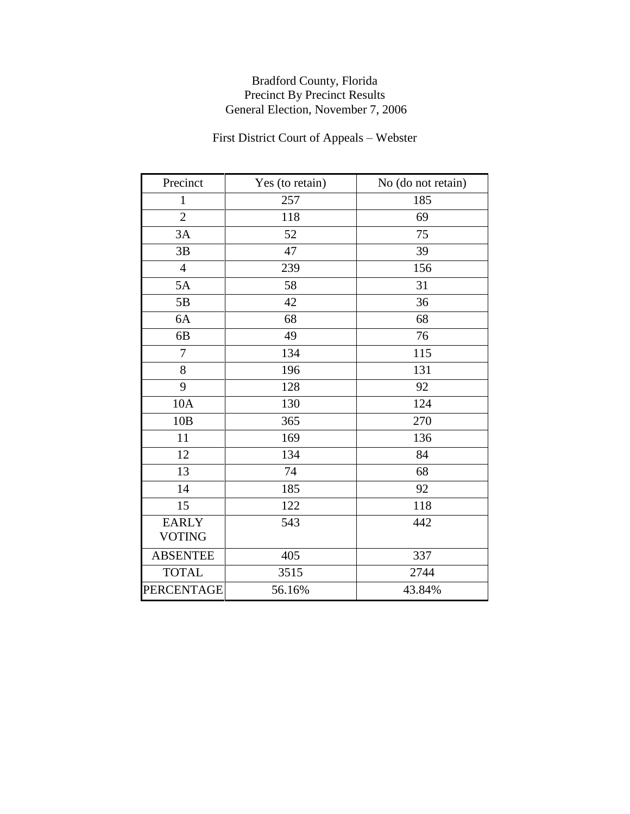# First District Court of Appeals – Webster

| Precinct                      | Yes (to retain) | No (do not retain) |  |
|-------------------------------|-----------------|--------------------|--|
| $\mathbf{1}$                  | 257             | 185                |  |
| $\overline{2}$                | 118             | 69                 |  |
| 3A                            | 52              | 75                 |  |
| 3B                            | 47              | 39                 |  |
| $\overline{4}$                | 239             | 156                |  |
| 5A                            | 58              | 31                 |  |
| 5B                            | 42              | 36                 |  |
| 6A                            | 68              | 68                 |  |
| 6B                            | 49              | 76                 |  |
| $\overline{7}$                | 134             | 115                |  |
| 8                             | 196             | 131                |  |
| 9                             | 128             | 92                 |  |
| 10A                           | 130             | 124                |  |
| 10B                           | 365             | 270                |  |
| 11                            | 169             | 136                |  |
| 12                            | 134             | 84                 |  |
| 13                            | 74              | 68                 |  |
| 14                            | 185             | 92                 |  |
| 15                            | 122             | 118                |  |
| <b>EARLY</b><br><b>VOTING</b> | 543             | 442                |  |
| <b>ABSENTEE</b>               | 405             | 337                |  |
| <b>TOTAL</b>                  | 3515            | 2744               |  |
| <b>PERCENTAGE</b>             | 56.16%          | 43.84%             |  |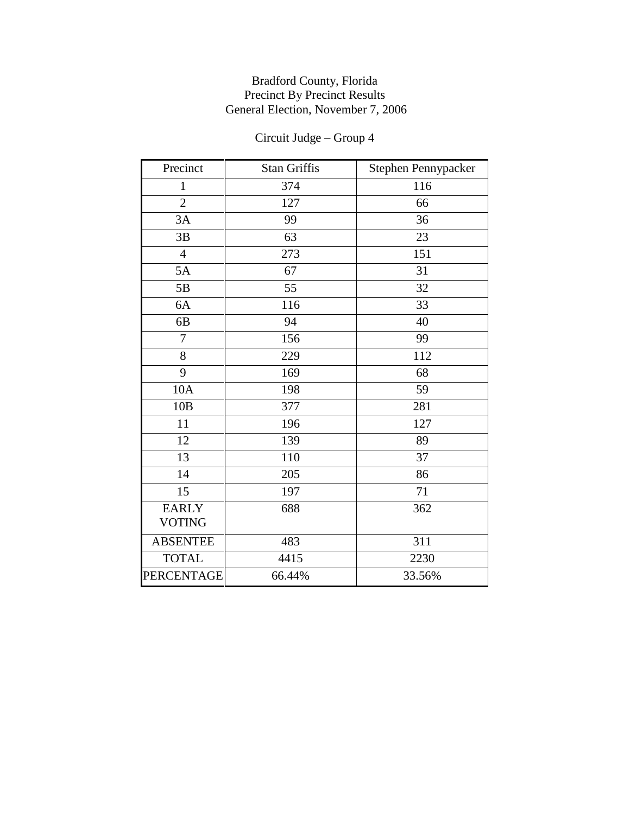| Precinct        | <b>Stan Griffis</b> | Stephen Pennypacker |
|-----------------|---------------------|---------------------|
| $\mathbf{1}$    | 374                 | 116                 |
| $\overline{2}$  | 127                 | 66                  |
| 3A              | 99                  | 36                  |
| 3B              | 63                  | 23                  |
| $\overline{4}$  | 273                 | 151                 |
| 5A              | 67                  | 31                  |
| 5B              | 55                  | 32                  |
| 6A              | 116                 | 33                  |
| 6 <sub>B</sub>  | 94                  | 40                  |
| 7               | 156                 | 99                  |
| 8               | 229                 | 112                 |
| 9               | 169                 | 68                  |
| 10A             | 198                 | 59                  |
| 10B             | 377                 | 281                 |
| 11              | 196                 | 127                 |
| 12              | 139                 | 89                  |
| 13              | 110                 | 37                  |
| 14              | 205                 | 86                  |
| 15              | 197                 | 71                  |
| <b>EARLY</b>    | 688                 | 362                 |
| <b>VOTING</b>   |                     |                     |
| <b>ABSENTEE</b> | 483                 | 311                 |
| <b>TOTAL</b>    | 4415                | 2230                |
| PERCENTAGE      | 66.44%              | 33.56%              |

# Circuit Judge – Group 4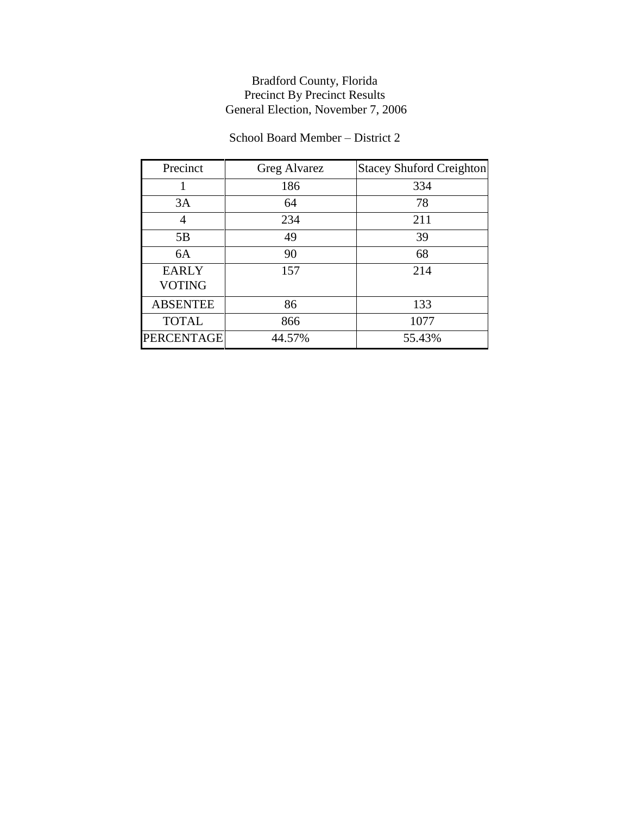## School Board Member – District 2

| Precinct                      | Greg Alvarez | <b>Stacey Shuford Creighton</b> |  |
|-------------------------------|--------------|---------------------------------|--|
|                               | 186          | 334                             |  |
| 3A                            | 64           | 78                              |  |
| 4                             | 234          | 211                             |  |
| 5B                            | 49           | 39                              |  |
| 6A                            | 90           | 68                              |  |
| <b>EARLY</b><br><b>VOTING</b> | 157          | 214                             |  |
| <b>ABSENTEE</b>               | 86           | 133                             |  |
| <b>TOTAL</b>                  | 866          | 1077                            |  |
| <b>PERCENTAGE</b>             | 44.57%       | 55.43%                          |  |
|                               |              |                                 |  |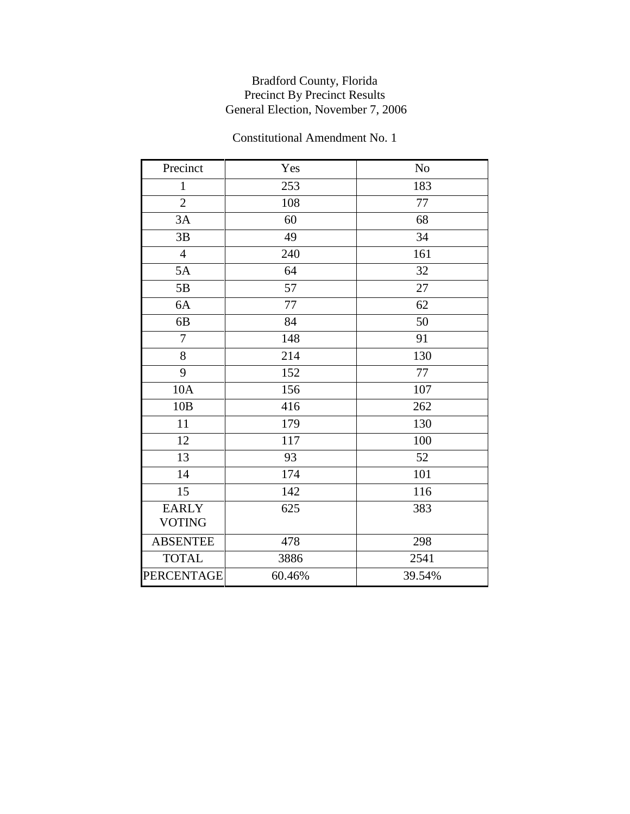| Precinct        | Yes    | N <sub>o</sub> |  |
|-----------------|--------|----------------|--|
| $\mathbf{1}$    | 253    | 183            |  |
| $\overline{2}$  | 108    | 77             |  |
| 3A              | 60     | 68             |  |
| 3B              | 49     | 34             |  |
| $\overline{4}$  | 240    | 161            |  |
| 5A              | 64     | 32             |  |
| $5B$            | 57     | 27             |  |
| 6A              | 77     | 62             |  |
| 6B              | 84     | 50             |  |
| $\overline{7}$  | 148    | 91             |  |
| 8               | 214    | 130            |  |
| 9               | 152    | $77\,$         |  |
| 10A             | 156    | 107            |  |
| 10B             | 416    | 262            |  |
| 11              | 179    | 130            |  |
| 12              | 117    | 100            |  |
| 13              | 93     | 52             |  |
| 14              | 174    | 101            |  |
| 15              | 142    | 116            |  |
| <b>EARLY</b>    | 625    | 383            |  |
| <b>VOTING</b>   |        |                |  |
| <b>ABSENTEE</b> | 478    | 298            |  |
| <b>TOTAL</b>    | 3886   | 2541           |  |
| PERCENTAGE      | 60.46% | 39.54%         |  |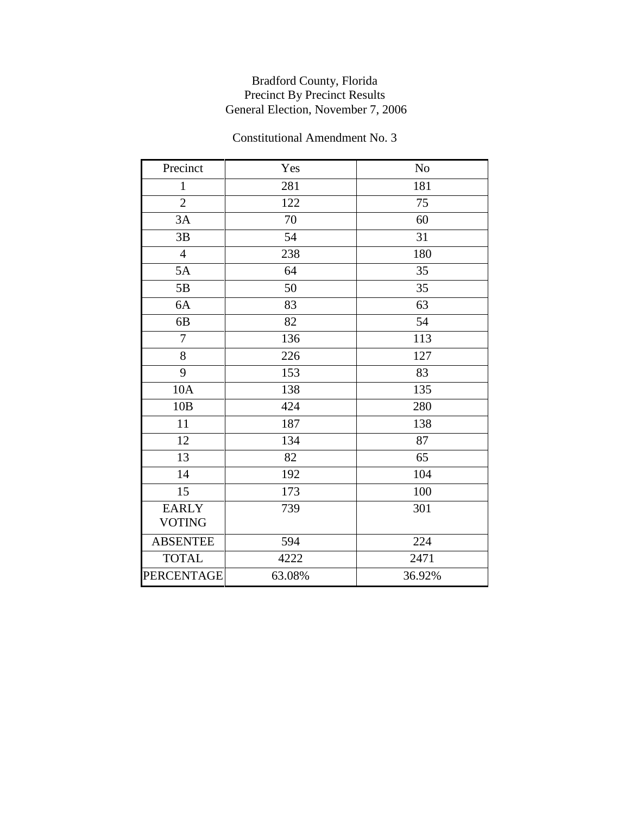| Precinct        | Yes    | N <sub>o</sub> |  |
|-----------------|--------|----------------|--|
| $\mathbf{1}$    | 281    | 181            |  |
| $\overline{2}$  | 122    | 75             |  |
| 3A              | 70     | 60             |  |
| 3B              | 54     | 31             |  |
| $\overline{4}$  | 238    | 180            |  |
| 5A              | 64     | 35             |  |
| 5B              | 50     | 35             |  |
| 6A              | 83     | 63             |  |
| 6 <sub>B</sub>  | 82     | 54             |  |
| $\overline{7}$  | 136    | 113            |  |
| $8\,$           | 226    | 127            |  |
| 9               | 153    | 83             |  |
| 10A             | 138    | 135            |  |
| 10B             | 424    | 280            |  |
| 11              | 187    | 138            |  |
| 12              | 134    | 87             |  |
| 13              | 82     | 65             |  |
| 14              | 192    | 104            |  |
| 15              | 173    | 100            |  |
| <b>EARLY</b>    | 739    | 301            |  |
| <b>VOTING</b>   |        |                |  |
| <b>ABSENTEE</b> | 594    | 224            |  |
| <b>TOTAL</b>    | 4222   | 2471           |  |
| PERCENTAGE      | 63.08% | 36.92%         |  |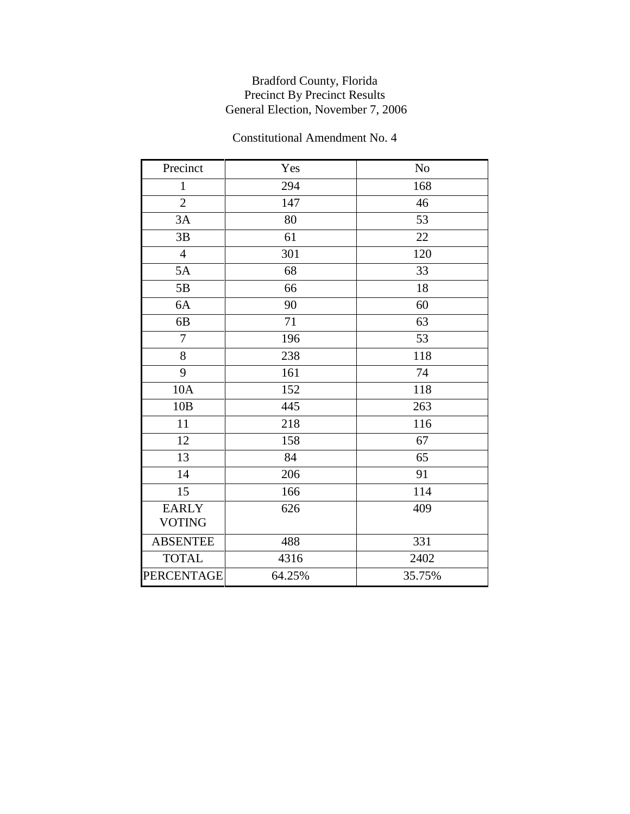| Precinct        | Yes    | N <sub>o</sub> |  |
|-----------------|--------|----------------|--|
| $\mathbf{1}$    | 294    | 168            |  |
| $\overline{2}$  | 147    | 46             |  |
| 3A              | 80     | 53             |  |
| 3B              | 61     | 22             |  |
| $\overline{4}$  | 301    | 120            |  |
| 5A              | 68     | 33             |  |
| 5B              | 66     | 18             |  |
| 6A              | 90     | 60             |  |
| 6B              | 71     | 63             |  |
| $\overline{7}$  | 196    | 53             |  |
| $8\,$           | 238    | 118            |  |
| 9               | 161    | 74             |  |
| 10A             | 152    | 118            |  |
| 10B             | 445    | 263            |  |
| 11              | 218    | 116            |  |
| 12              | 158    | 67             |  |
| 13              | 84     | 65             |  |
| 14              | 206    | 91             |  |
| 15              | 166    | 114            |  |
| <b>EARLY</b>    | 626    | 409            |  |
| <b>VOTING</b>   |        |                |  |
| <b>ABSENTEE</b> | 488    | 331            |  |
| <b>TOTAL</b>    | 4316   | 2402           |  |
| PERCENTAGE      | 64.25% | 35.75%         |  |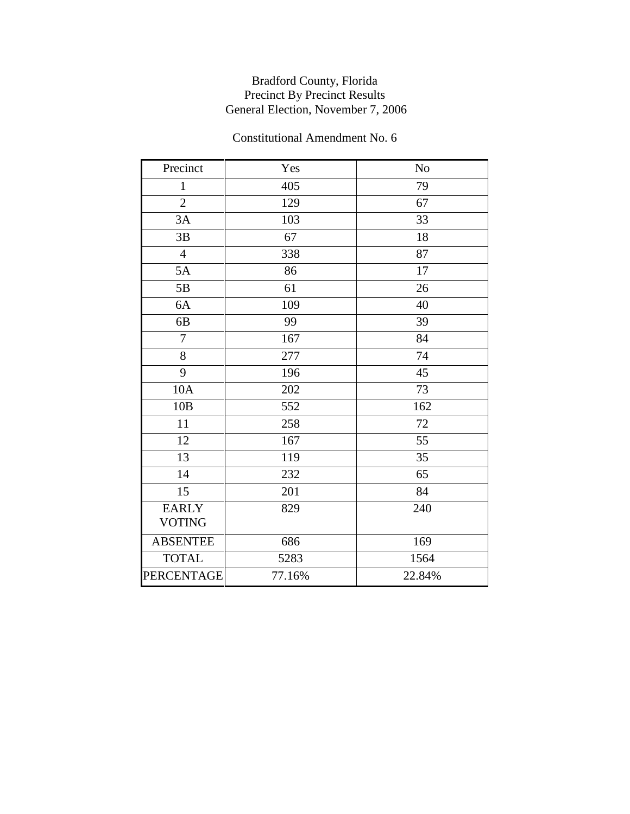| Precinct        | Yes    | N <sub>o</sub> |  |
|-----------------|--------|----------------|--|
|                 |        |                |  |
| $\mathbf{1}$    | 405    | 79             |  |
| $\overline{2}$  | 129    | 67             |  |
| 3A              | 103    | 33             |  |
| 3B              | 67     | 18             |  |
| $\overline{4}$  | 338    | 87             |  |
| 5A              | 86     | 17             |  |
| 5B              | 61     | 26             |  |
| 6A              | 109    | 40             |  |
| 6B              | 99     | 39             |  |
| $\overline{7}$  | 167    | 84             |  |
| 8               | 277    | 74             |  |
| 9               | 196    | 45             |  |
| 10A             | 202    | 73             |  |
| 10B             | 552    | 162            |  |
| 11              | 258    | 72             |  |
| 12              | 167    | 55             |  |
| 13              | 119    | 35             |  |
| 14              | 232    | 65             |  |
| 15              | 201    | 84             |  |
| <b>EARLY</b>    | 829    | 240            |  |
| <b>VOTING</b>   |        |                |  |
| <b>ABSENTEE</b> | 686    | 169            |  |
| <b>TOTAL</b>    | 5283   | 1564           |  |
| PERCENTAGE      | 77.16% | 22.84%         |  |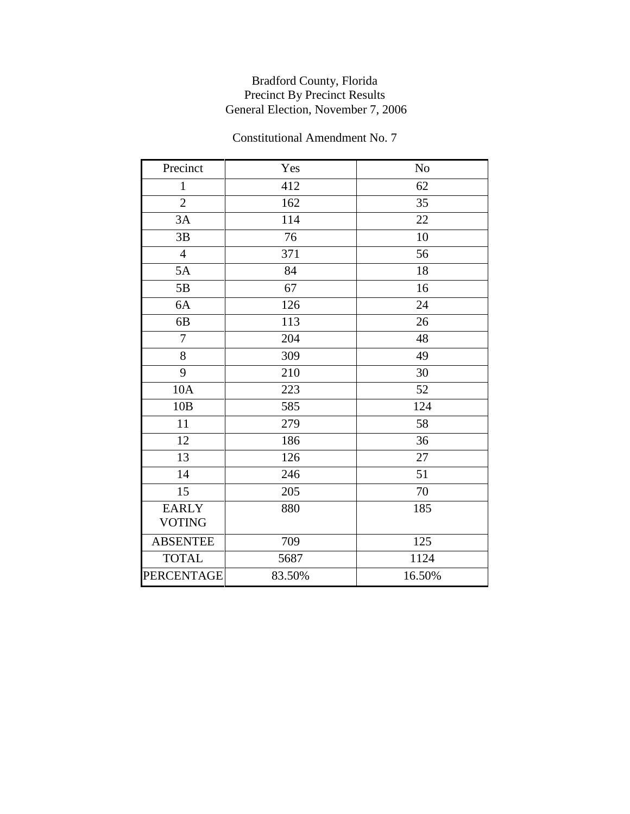| Precinct        | Yes    | N <sub>o</sub> |  |
|-----------------|--------|----------------|--|
| $\mathbf{1}$    | 412    | 62             |  |
| $\overline{2}$  | 162    | 35             |  |
| 3A              | 114    | 22             |  |
| 3B              | 76     | 10             |  |
| $\overline{4}$  | 371    | 56             |  |
| 5A              | 84     | 18             |  |
| 5B              | 67     | 16             |  |
| 6A              | 126    | 24             |  |
| 6B              | 113    | 26             |  |
| $\overline{7}$  | 204    | 48             |  |
| $8\,$           | 309    | 49             |  |
| 9               | 210    | 30             |  |
| 10A             | 223    | 52             |  |
| 10B             | 585    | 124            |  |
| 11              | 279    | 58             |  |
| 12              | 186    | 36             |  |
| 13              | 126    | 27             |  |
| 14              | 246    | 51             |  |
| 15              | 205    | 70             |  |
| <b>EARLY</b>    | 880    | 185            |  |
| <b>VOTING</b>   |        |                |  |
| <b>ABSENTEE</b> | 709    | 125            |  |
| <b>TOTAL</b>    | 5687   | 1124           |  |
| PERCENTAGE      | 83.50% | 16.50%         |  |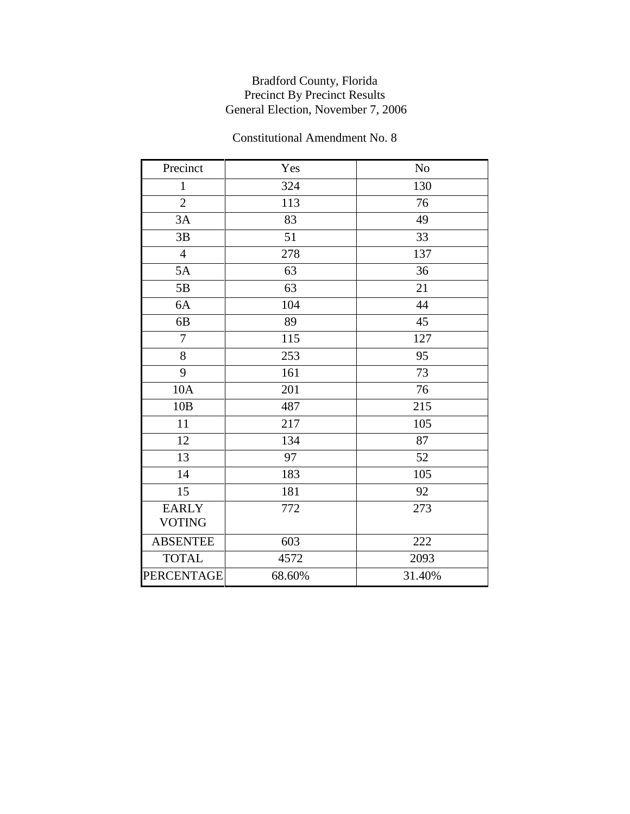| Precinct        | Yes    | N <sub>o</sub> |  |
|-----------------|--------|----------------|--|
| $\mathbf{1}$    | 324    | 130            |  |
| $\overline{2}$  | 113    | 76             |  |
| 3A              | 83     | 49             |  |
| 3B              | 51     | 33             |  |
| $\overline{4}$  | 278    | 137            |  |
| 5A              | 63     | 36             |  |
| 5B              | 63     | 21             |  |
| 6A              | 104    | 44             |  |
| 6B              | 89     | 45             |  |
| $\overline{7}$  | 115    | 127            |  |
| 8               | 253    | 95             |  |
| 9               | 161    | 73             |  |
| 10A             | 201    | 76             |  |
| 10B             | 487    | 215            |  |
| 11              | 217    | 105            |  |
| 12              | 134    | 87             |  |
| 13              | 97     | 52             |  |
| 14              | 183    | 105            |  |
| 15              | 181    | 92             |  |
| <b>EARLY</b>    | 772    | 273            |  |
| <b>VOTING</b>   |        |                |  |
| <b>ABSENTEE</b> | 603    | 222            |  |
| <b>TOTAL</b>    | 4572   | 2093           |  |
| PERCENTAGE      | 68.60% | 31.40%         |  |